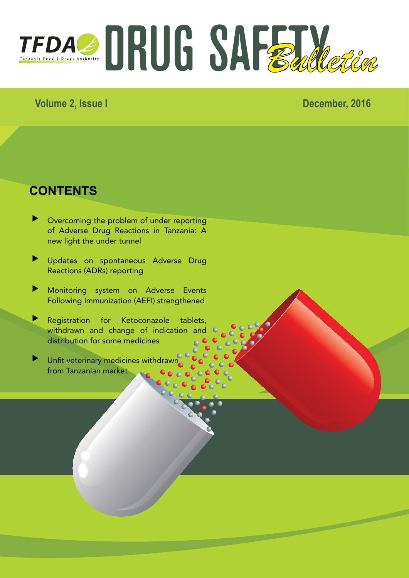

# **Volume 2, Issue I December, 2016**

# **CONTENTS**

- Overcoming the problem of under reporting of Adverse Drug Reactions in Tanzania: A new light the under tunnel
- Updates on spontaneous Adverse Drug Reactions (ADRs) reporting
- Monitoring system on Adverse Events Following Immunization (AEFI) strengthened
- Registration for Ketoconazole tablets, withdrawn and change of indication and distribution for some medicines
- Unfit veterinary medicines withdraw from Tanzanian market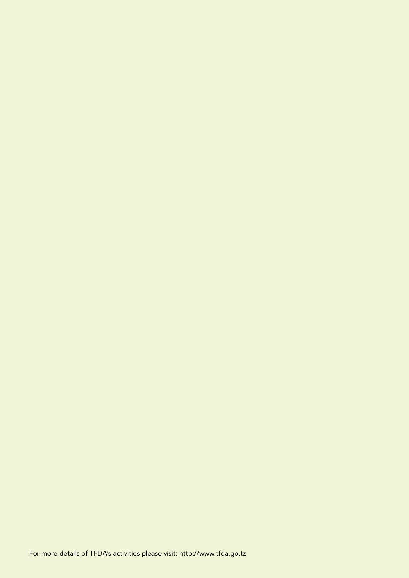For more details of TFDA's activities please visit: http://www.tfda.go.tz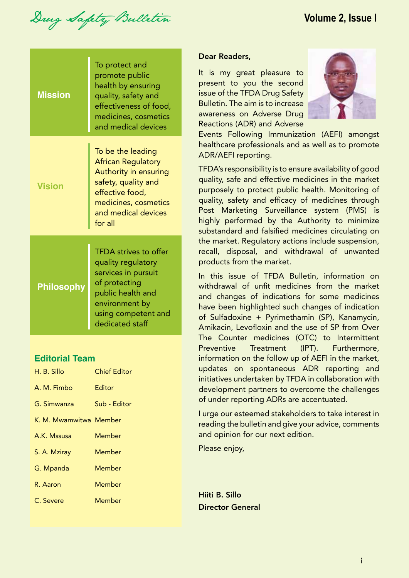Drug Safety Bulletin **Volume 2, Issue I**

| <b>Mission</b>    | To protect and<br>promote public<br>health by ensuring<br>quality, safety and<br>effectiveness of food,<br>medicines, cosmetics<br>and medical devices                      |
|-------------------|-----------------------------------------------------------------------------------------------------------------------------------------------------------------------------|
| <b>Vision</b>     | To be the leading<br><b>African Regulatory</b><br>Authority in ensuring<br>safety, quality and<br>effective food,<br>medicines, cosmetics<br>and medical devices<br>for all |
| <b>Philosophy</b> | <b>TFDA strives to offer</b><br>quality regulatory<br>services in pursuit<br>of protecting<br>public health and<br>environment by<br>using competent and<br>dedicated staff |

### **Editorial Team**

H. B. Sillo Chief Editor A. M. Fimbo Editor G. Simwanza Sub - Editor K. M. Mwamwitwa Member A.K. Mssusa Member S. A. Mziray Member G. Mpanda Member R. Aaron Member C. Severe Member

#### Dear Readers,

It is my great pleasure to present to you the second issue of the TFDA Drug Safety Bulletin. The aim is to increase awareness on Adverse Drug Reactions (ADR) and Adverse



Events Following Immunization (AEFI) amongst healthcare professionals and as well as to promote ADR/AEFI reporting.

TFDA's responsibility is to ensure availability of good quality, safe and effective medicines in the market purposely to protect public health. Monitoring of quality, safety and efficacy of medicines through Post Marketing Surveillance system (PMS) is highly performed by the Authority to minimize substandard and falsified medicines circulating on the market. Regulatory actions include suspension, recall, disposal, and withdrawal of unwanted products from the market.

In this issue of TFDA Bulletin, information on withdrawal of unfit medicines from the market and changes of indications for some medicines have been highlighted such changes of indication of Sulfadoxine + Pyrimethamin (SP), Kanamycin, Amikacin, Levofloxin and the use of SP from Over The Counter medicines (OTC) to Intermittent Preventive Treatment (IPT). Furthermore, information on the follow up of AEFI in the market, updates on spontaneous ADR reporting and initiatives undertaken by TFDA in collaboration with development partners to overcome the challenges of under reporting ADRs are accentuated.

I urge our esteemed stakeholders to take interest in reading the bulletin and give your advice, comments and opinion for our next edition.

Please enjoy,

Hiiti B. Sillo Director General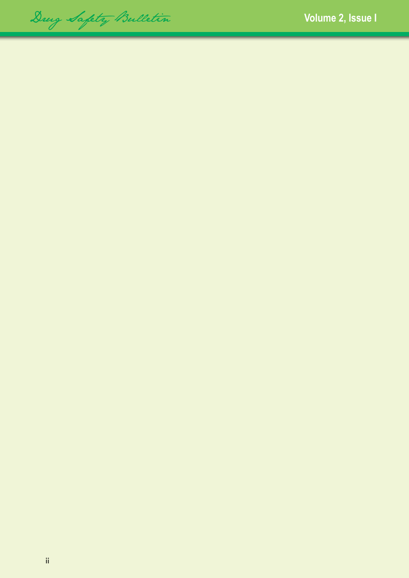Drug Safety Bulletin **Volume 2, Issue I**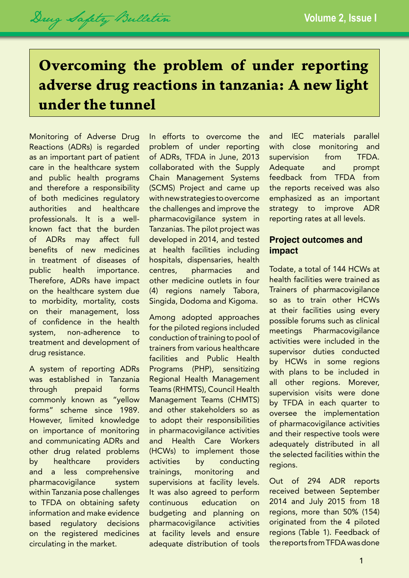# **Overcoming the problem of under reporting adverse drug reactions in tanzania: A new light under the tunnel**

Monitoring of Adverse Drug Reactions (ADRs) is regarded as an important part of patient care in the healthcare system and public health programs and therefore a responsibility of both medicines regulatory authorities and healthcare professionals. It is a wellknown fact that the burden of ADRs may affect full benefits of new medicines in treatment of diseases of public health importance. Therefore, ADRs have impact on the healthcare system due to morbidity, mortality, costs on their management, loss of confidence in the health system, non-adherence to treatment and development of drug resistance.

A system of reporting ADRs was established in Tanzania through prepaid forms commonly known as "yellow forms" scheme since 1989. However, limited knowledge on importance of monitoring and communicating ADRs and other drug related problems by healthcare providers and a less comprehensive pharmacovigilance system within Tanzania pose challenges to TFDA on obtaining safety information and make evidence based regulatory decisions on the registered medicines circulating in the market.

In efforts to overcome the problem of under reporting of ADRs, TFDA in June, 2013 collaborated with the Supply Chain Management Systems (SCMS) Project and came up with new strategies to overcome the challenges and improve the pharmacovigilance system in Tanzanias. The pilot project was developed in 2014, and tested at health facilities including hospitals, dispensaries, health centres, pharmacies and other medicine outlets in four (4) regions namely Tabora, Singida, Dodoma and Kigoma.

Among adopted approaches for the piloted regions included conduction of training to pool of trainers from various healthcare facilities and Public Health Programs (PHP), sensitizing Regional Health Management Teams (RHMTS), Council Health Management Teams (CHMTS) and other stakeholders so as to adopt their responsibilities in pharmacovigilance activities and Health Care Workers (HCWs) to implement those activities by conducting trainings, monitoring and supervisions at facility levels. It was also agreed to perform continuous education on budgeting and planning on pharmacovigilance activities at facility levels and ensure adequate distribution of tools

and IEC materials parallel with close monitoring and supervision from TFDA. Adequate and prompt feedback from TFDA from the reports received was also emphasized as an important strategy to improve ADR reporting rates at all levels.

# **Project outcomes and impact**

Todate, a total of 144 HCWs at health facilities were trained as Trainers of pharmacovigilance so as to train other HCWs at their facilities using every possible forums such as clinical meetings Pharmacovigilance activities were included in the supervisor duties conducted by HCWs in some regions with plans to be included in all other regions. Morever, supervision visits were done by TFDA in each quarter to oversee the implementation of pharmacovigilance activities and their respective tools were adequately distributed in all the selected facilities within the regions.

Out of 294 ADR reports received between September 2014 and July 2015 from 18 regions, more than 50% (154) originated from the 4 piloted regions (Table 1). Feedback of the reports from TFDA was done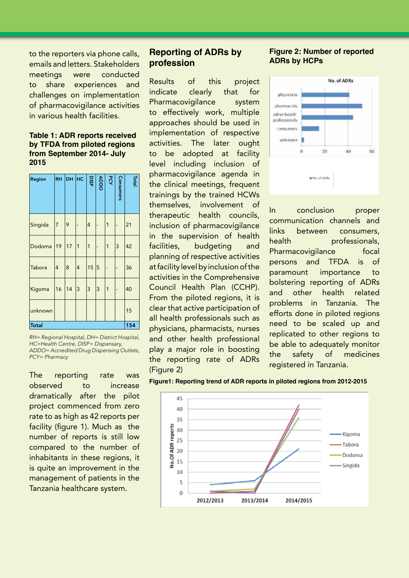to the reporters via phone calls, emails and letters. Stakeholders meetings were conducted to share experiences and challenges on implementation of pharmacovigilance activities in various health facilities.

#### **Table 1: ADR reports received by TFDA from piloted regions from September 2014- July 2015**

| Region    | <b>RH</b>      |    | рн  нс         | DISP | ADDO      | $\frac{1}{2}$ | Consumers | Total |
|-----------|----------------|----|----------------|------|-----------|---------------|-----------|-------|
| Singida   | 7              | 9  |                | 4    |           | 1             |           | 21    |
| Dodoma 19 |                | 17 | 1              | 1    |           | 1             | 3         | 42    |
| Tabora    | $\overline{4}$ | 8  | $\overline{4}$ | 15   | $\vert$ 5 |               |           | 36    |
| Kigoma    | 16             | 14 | 3              | 3    | 3         | 1             |           | 40    |
| unknown   |                |    |                |      |           |               |           | 15    |
| Total     |                |    |                |      | 154       |               |           |       |

*RH= Regional Hospital, DH= District Hospital, HC=Health Centre, DISP= Dispensary, ADDO= Accredited Drug Dispensing Outlets, PCY= Pharmacy*

The reporting rate was observed to increase dramatically after the pilot project commenced from zero rate to as high as 42 reports per facility (figure 1). Much as the number of reports is still low compared to the number of inhabitants in these regions, it is quite an improvement in the management of patients in the Tanzania healthcare system.

# **Reporting of ADRs by profession**

Results of this project indicate clearly that for Pharmacovigilance system to effectively work, multiple approaches should be used in implementation of respective activities. The later ought to be adopted at facility level including inclusion of pharmacovigilance agenda in the clinical meetings, frequent trainings by the trained HCWs themselves, involvement of therapeutic health councils, inclusion of pharmacovigilance in the supervision of health facilities, budgeting and planning of respective activities at facility level by inclusion of the activities in the Comprehensive Council Health Plan (CCHP). From the piloted regions, it is clear that active participation of all health professionals such as physicians, pharmacists, nurses and other health professional play a major role in boosting the reporting rate of ADRs (Figure 2)

### **Figure 2: Number of reported ADRs by HCPs**



In conclusion proper communication channels and links between consumers, health **professionals**, Pharmacovigilance focal persons and TFDA is of paramount importance to bolstering reporting of ADRs and other health related problems in Tanzania. The efforts done in piloted regions need to be scaled up and replicated to other regions to be able to adequately monitor the safety of medicines registered in Tanzania.

**Figure1: Reporting trend of ADR reports in piloted regions from 2012-2015**

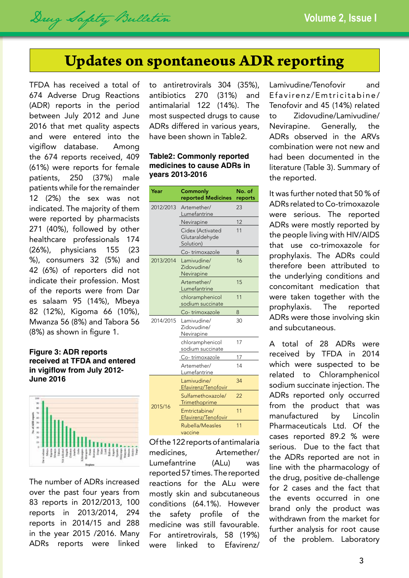# **Updates on spontaneous ADR reporting**

TFDA has received a total of 674 Adverse Drug Reactions (ADR) reports in the period between July 2012 and June 2016 that met quality aspects and were entered into the vigiflow database. Among the 674 reports received, 409 (61%) were reports for female patients, 250 (37%) male patients while for the remainder 12 (2%) the sex was not indicated. The majority of them were reported by pharmacists 271 (40%), followed by other healthcare professionals 174 (26%), physicians 155 (23 %), consumers 32 (5%) and 42 (6%) of reporters did not indicate their profession. Most of the reports were from Dar es salaam 95 (14%), Mbeya 82 (12%), Kigoma 66 (10%), Mwanza 56 (8%) and Tabora 56 (8%) as shown in figure 1.

#### **Figure 3: ADR reports received at TFDA and entered in vigiflow from July 2012- June 2016**



The number of ADRs increased over the past four years from 83 reports in 2012/2013, 100 reports in 2013/2014, 294 reports in 2014/15 and 288 in the year 2015 /2016. Many ADRs reports were linked to antiretrovirals 304 (35%), antibiotics 270 (31%) and antimalarial 122 (14%). The most suspected drugs to cause ADRs differed in various years, have been shown in Table2.

#### **Table2: Commonly reported medicines to cause ADRs in years 2013-2016**

| Year      | Commonly<br>reported Medicines                  | No. of<br>reports |
|-----------|-------------------------------------------------|-------------------|
| 2012/2013 | Artemether/<br>Lumefantrine                     | 23                |
|           | Nevirapine                                      | 12                |
|           | Cidex (Activated<br>Glutaraldehyde<br>Solution) | 11                |
|           | Co-trimoxazole                                  | 8                 |
| 2013/2014 | Lamivudine/<br>Zidovudine/<br>Nevirapine        | 16                |
|           | Artemether/<br>Lumefantrine                     | 15                |
|           | chloramphenicol<br>sodium succinate             | 11                |
|           | Co-trimoxazole                                  | 8                 |
| 2014/2015 | Lamivudine/<br>Zidovudine/<br>Nevirapine        | 30                |
|           | chloramphenicol<br>sodium succinate             | 17                |
|           | Co-trimoxazole                                  | 17                |
|           | Artemether/<br>Lumefantrine                     | 14                |
|           | Lamivudine/<br>Efavirenz/Tenofovir              | 34                |
|           | Sulfamethoxazole/<br>Trimethoprime              | 22                |
| 2015/16   | Emtrictabine/<br>Efavirenz/Tenofovir            | 11                |
|           | Rubella/Measles<br>vaccine                      | 11                |

Of the 122 reports of antimalaria medicines, Artemether/ Lumefantrine (ALu) was reported 57 times. The reported reactions for the ALu were mostly skin and subcutaneous conditions (64.1%). However the safety profile of the medicine was still favourable. For antiretrovirals, 58 (19%) were linked to Efavirenz/

Lamivudine/Tenofovir and Efavirenz/Emtricitabine/ Tenofovir and 45 (14%) related to Zidovudine/Lamivudine/ Nevirapine. Generally, the ADRs observed in the ARVs combination were not new and had been documented in the literature (Table 3). Summary of the reported.

It was further noted that 50 % of ADRs related to Co-trimoxazole were serious. The reported ADRs were mostly reported by the people living with HIV/AIDS that use co-trimoxazole for prophylaxis. The ADRs could therefore been attributed to the underlying conditions and concomitant medication that were taken together with the prophylaxis. The reported ADRs were those involving skin and subcutaneous.

A total of 28 ADRs were received by TFDA in 2014 which were suspected to be related to Chloramphenicol sodium succinate injection. The ADRs reported only occurred from the product that was manufactured by Lincolin Pharmaceuticals Ltd. Of the cases reported 89.2 % were serious. Due to the fact that the ADRs reported are not in line with the pharmacology of the drug, positive de-challenge for 2 cases and the fact that the events occurred in one brand only the product was withdrawn from the market for further analysis for root cause of the problem. Laboratory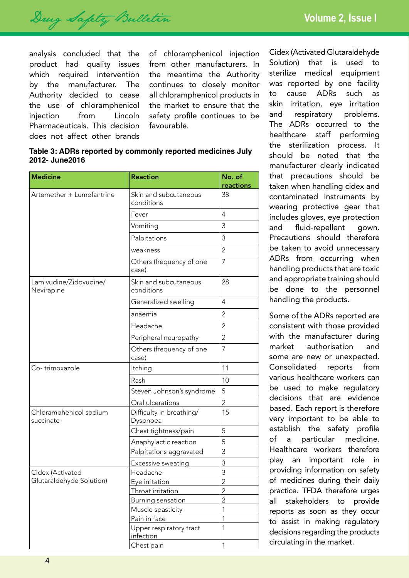Drug Safety Bulletin **Volume 2, Issue I**

analysis concluded that the product had quality issues which required intervention by the manufacturer. The Authority decided to cease the use of chloramphenicol injection from Lincoln Pharmaceuticals. This decision does not affect other brands

of chloramphenicol injection from other manufacturers. In the meantime the Authority continues to closely monitor all chloramphenicol products in the market to ensure that the safety profile continues to be favourable.

| Table 3: ADRs reported by commonly reported medicines July |  |
|------------------------------------------------------------|--|
| 2012- June 2016                                            |  |

| <b>Medicine</b>                      | <b>Reaction</b>                                      | No. of<br>reactions |
|--------------------------------------|------------------------------------------------------|---------------------|
| Artemether + Lumefantrine            | Skin and subcutaneous<br>conditions                  | 38                  |
|                                      | Fever                                                | 4                   |
|                                      | Vomiting                                             | 3                   |
|                                      | Palpitations                                         | 3                   |
|                                      | weakness                                             | $\overline{2}$      |
|                                      | Others (frequency of one<br>case)                    | 7                   |
| Lamivudine/Zidovudine/<br>Nevirapine | Skin and subcutaneous<br>conditions                  | 28                  |
|                                      | Generalized swelling                                 | 4                   |
|                                      | anaemia                                              | 2                   |
|                                      | Headache                                             | $\overline{2}$      |
|                                      | Peripheral neuropathy                                | 2                   |
|                                      | Others (frequency of one<br>case)                    | 7                   |
| Co-trimoxazole                       | Itching                                              | 11                  |
|                                      | Rash                                                 | 10                  |
|                                      | Steven Johnson's syndrome                            | 5                   |
|                                      | Oral ulcerations                                     | 2                   |
| Chloramphenicol sodium<br>succinate  | Difficulty in breathing/<br>Dyspnoea                 | 15                  |
|                                      | Chest tightness/pain                                 | 5                   |
|                                      | Anaphylactic reaction                                | 5                   |
|                                      | Palpitations aggravated                              | 3                   |
|                                      | Excessive sweating                                   | 3                   |
| Cidex (Activated                     | Headache                                             | 3                   |
| Glutaraldehyde Solution)             | Eye irritation                                       | $\overline{c}$      |
|                                      | Throat irritation                                    | $\overline{c}$      |
|                                      | <b>Burning sensation</b>                             | $\overline{2}$      |
|                                      | Muscle spasticity                                    | $\mathbf{1}$        |
|                                      | Pain in face<br>Upper respiratory tract<br>infection | 1<br>1              |
|                                      | Chest pain                                           | 1                   |

Cidex (Activated Glutaraldehyde Solution) that is used to sterilize medical equipment was reported by one facility to cause ADRs such as skin irritation, eye irritation and respiratory problems. The ADRs occurred to the healthcare staff performing the sterilization process. It should be noted that the manufacturer clearly indicated that precautions should be taken when handling cidex and contaminated instruments by wearing protective gear that includes gloves, eye protection and fluid-repellent gown. Precautions should therefore be taken to avoid unnecessary ADRs from occurring when handling products that are toxic and appropriate training should be done to the personnel handling the products.

Some of the ADRs reported are consistent with those provided with the manufacturer during market authorisation and some are new or unexpected. Consolidated reports from various healthcare workers can be used to make regulatory decisions that are evidence based. Each report is therefore very important to be able to establish the safety profile of a particular medicine. Healthcare workers therefore play an important role in providing information on safety of medicines during their daily practice. TFDA therefore urges all stakeholders to provide reports as soon as they occur to assist in making regulatory decisions regarding the products circulating in the market.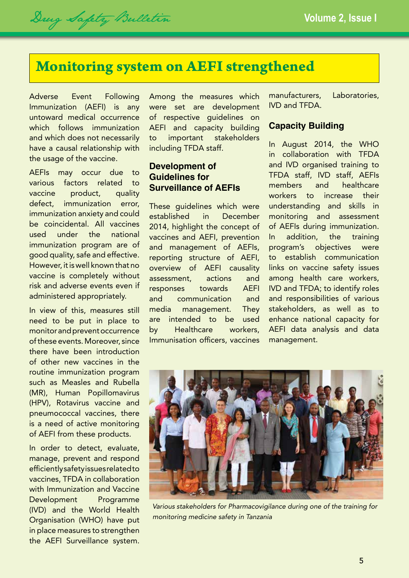# **Monitoring system on AEFI strengthened**

Adverse Event Following Immunization (AEFI) is any untoward medical occurrence which follows immunization and which does not necessarily have a causal relationship with the usage of the vaccine.

AEFIs may occur due to various factors related to vaccine product, quality defect, immunization error, immunization anxiety and could be coincidental. All vaccines used under the national immunization program are of good quality, safe and effective. However, it is well known that no vaccine is completely without risk and adverse events even if administered appropriately.

In view of this, measures still need to be put in place to monitor and prevent occurrence of these events. Moreover, since there have been introduction of other new vaccines in the routine immunization program such as Measles and Rubella (MR), Human Popillomavirus (HPV), Rotavirus vaccine and pneumococcal vaccines, there is a need of active monitoring of AEFI from these products.

In order to detect, evaluate, manage, prevent and respond efficiently safety issues related to vaccines, TFDA in collaboration with Immunization and Vaccine Development Programme (IVD) and the World Health Organisation (WHO) have put in place measures to strengthen the AEFI Surveillance system.

Among the measures which were set are development of respective guidelines on AEFI and capacity building to important stakeholders including TFDA staff.

# **Development of Guidelines for Surveillance of AEFIs**

These guidelines which were established in December 2014, highlight the concept of vaccines and AEFI, prevention and management of AEFIs, reporting structure of AEFI, overview of AEFI causality assessment, actions and responses towards AEFI and communication and media management. They are intended to be used by Healthcare workers, Immunisation officers, vaccines

manufacturers, Laboratories, IVD and TFDA.

# **Capacity Building**

In August 2014, the WHO in collaboration with TFDA and IVD organised training to TFDA staff, IVD staff, AEFIs members and healthcare workers to increase their understanding and skills in monitoring and assessment of AEFIs during immunization. In addition, the training program's objectives were to establish communication links on vaccine safety issues among health care workers, IVD and TFDA; to identify roles and responsibilities of various stakeholders, as well as to enhance national capacity for AEFI data analysis and data management.



*Various stakeholders for Pharmacovigilance during one of the training for monitoring medicine safety in Tanzania*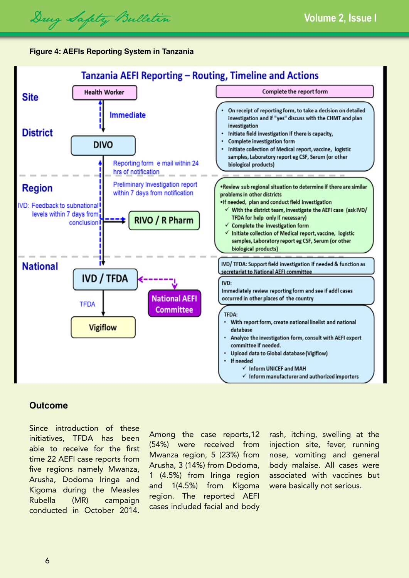



### **Outcome**

Since introduction of these initiatives, TFDA has been able to receive for the first time 22 AEFI case reports from five regions namely Mwanza, Arusha, Dodoma Iringa and Kigoma during the Measles Rubella (MR) campaign conducted in October 2014.

Among the case reports,12 (54%) were received from Mwanza region, 5 (23%) from Arusha, 3 (14%) from Dodoma, 1 (4.5%) from Iringa region and 1(4.5%) from Kigoma region. The reported AEFI cases included facial and body

rash, itching, swelling at the injection site, fever, running nose, vomiting and general body malaise. All cases were associated with vaccines but were basically not serious.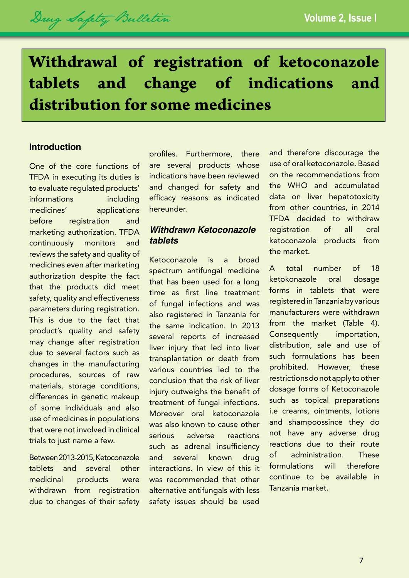# **Withdrawal of registration of ketoconazole tablets and change of indications and distribution for some medicines**

### **Introduction**

One of the core functions of TFDA in executing its duties is to evaluate regulated products' informations including medicines' applications before registration and marketing authorization. TFDA continuously monitors and reviews the safety and quality of medicines even after marketing authorization despite the fact that the products did meet safety, quality and effectiveness parameters during registration. This is due to the fact that product's quality and safety may change after registration due to several factors such as changes in the manufacturing procedures, sources of raw materials, storage conditions, differences in genetic makeup of some individuals and also use of medicines in populations that were not involved in clinical trials to just name a few.

Between 2013-2015, Ketoconazole tablets and several other medicinal products were withdrawn from registration due to changes of their safety

profiles. Furthermore, there are several products whose indications have been reviewed and changed for safety and efficacy reasons as indicated hereunder.

### *Withdrawn Ketoconazole tablets*

Ketoconazole is a broad spectrum antifungal medicine that has been used for a long time as first line treatment of fungal infections and was also registered in Tanzania for the same indication. In 2013 several reports of increased liver injury that led into liver transplantation or death from various countries led to the conclusion that the risk of liver injury outweighs the benefit of treatment of fungal infections. Moreover oral ketoconazole was also known to cause other serious adverse reactions such as adrenal insufficiency and several known drug interactions. In view of this it was recommended that other alternative antifungals with less safety issues should be used and therefore discourage the use of oral ketoconazole. Based on the recommendations from the WHO and accumulated data on liver hepatotoxicity from other countries, in 2014 TFDA decided to withdraw registration of all oral ketoconazole products from the market.

A total number of 18 ketokonazole oral dosage forms in tablets that were registered in Tanzania by various manufacturers were withdrawn from the market (Table 4). Consequently importation, distribution, sale and use of such formulations has been prohibited. However, these restrictions do not apply to other dosage forms of Ketoconazole such as topical preparations i.e creams, ointments, lotions and shampoossince they do not have any adverse drug reactions due to their route of administration. These formulations will therefore continue to be available in Tanzania market.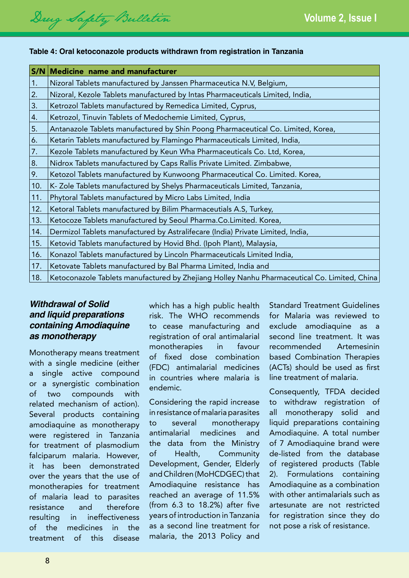|           | S/N Medicine name and manufacturer                                                           |
|-----------|----------------------------------------------------------------------------------------------|
| 1.        | Nizoral Tablets manufactured by Janssen Pharmaceutica N.V, Belgium,                          |
| <b>2.</b> | Nizoral, Kezole Tablets manufactured by Intas Pharmaceuticals Limited, India,                |
| 3.        | Ketrozol Tablets manufactured by Remedica Limited, Cyprus,                                   |
| 4.        | Ketrozol, Tinuvin Tablets of Medochemie Limited, Cyprus,                                     |
| 5.        | Antanazole Tablets manufactured by Shin Poong Pharmaceutical Co. Limited, Korea,             |
| 6.        | Ketarin Tablets manufactured by Flamingo Pharmaceuticals Limited, India,                     |
| 7.        | Kezole Tablets manufactured by Keun Wha Pharmaceuticals Co. Ltd, Korea,                      |
| 8.        | Nidrox Tablets manufactured by Caps Rallis Private Limited. Zimbabwe,                        |
| 9.        | Ketozol Tablets manufactured by Kunwoong Pharmaceutical Co. Limited. Korea,                  |
| 10.       | K-Zole Tablets manufactured by Shelys Pharmaceuticals Limited, Tanzania,                     |
| 11.       | Phytoral Tablets manufactured by Micro Labs Limited, India                                   |
| 12.       | Ketoral Tablets manufactured by Bilim Pharmaceutials A.S, Turkey,                            |
| 13.       | Ketocoze Tablets manufactured by Seoul Pharma.Co.Limited. Korea,                             |
| 14.       | Dermizol Tablets manufactured by Astralifecare (India) Private Limited, India,               |
| 15.       | Ketovid Tablets manufactured by Hovid Bhd. (Ipoh Plant), Malaysia,                           |
| 16.       | Konazol Tablets manufactured by Lincoln Pharmaceuticals Limited India,                       |
| 17.       | Ketovate Tablets manufactured by Bal Pharma Limited, India and                               |
| 18.       | Ketoconazole Tablets manufactured by Zhejiang Holley Nanhu Pharmaceutical Co. Limited, China |

#### **Table 4: Oral ketoconazole products withdrawn from registration in Tanzania**

# *Withdrawal of Solid and liquid preparations containing Amodiaquine as monotherapy*

Monotherapy means treatment with a single medicine (either a single active compound or a synergistic combination of two compounds with related mechanism of action). Several products containing amodiaquine as monotherapy were registered in Tanzania for treatment of plasmodium falciparum malaria. However, it has been demonstrated over the years that the use of monotherapies for treatment of malaria lead to parasites resistance and therefore resulting in ineffectiveness of the medicines in the treatment of this disease which has a high public health risk. The WHO recommends to cease manufacturing and registration of oral antimalarial monotherapies in favour of fixed dose combination (FDC) antimalarial medicines in countries where malaria is endemic.

Considering the rapid increase in resistance of malaria parasites to several monotherapy antimalarial medicines and the data from the Ministry of Health, Community Development, Gender, Elderly and Children (MoHCDGEC) that Amodiaquine resistance has reached an average of 11.5% (from 6.3 to 18.2%) after five years of introduction in Tanzania as a second line treatment for malaria, the 2013 Policy and Standard Treatment Guidelines for Malaria was reviewed to exclude amodiaquine as a second line treatment. It was recommended Artemesinin based Combination Therapies (ACTs) should be used as first line treatment of malaria.

Consequently, TFDA decided to withdraw registration of all monotherapy solid and liquid preparations containing Amodiaquine. A total number of 7 Amodiaquine brand were de-listed from the database of registered products (Table 2). Formulations containing Amodiaquine as a combination with other antimalarials such as artesunate are not restricted for registration since they do not pose a risk of resistance.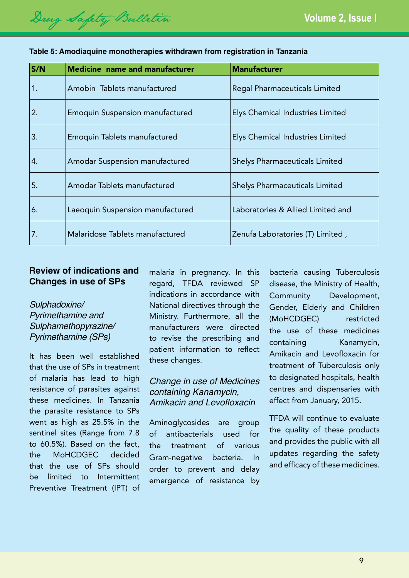| S/N | <b>Medicine name and manufacturer</b>  | <b>Manufacturer</b>                   |
|-----|----------------------------------------|---------------------------------------|
| 1.  | Amobin Tablets manufactured            | Regal Pharmaceuticals Limited         |
| 2.  | <b>Emoquin Suspension manufactured</b> | Elys Chemical Industries Limited      |
| 3.  | Emoquin Tablets manufactured           | Elys Chemical Industries Limited      |
| 4.  | Amodar Suspension manufactured         | <b>Shelys Pharmaceuticals Limited</b> |
| 5.  | Amodar Tablets manufactured            | <b>Shelys Pharmaceuticals Limited</b> |
| 6.  | Laeoquin Suspension manufactured       | Laboratories & Allied Limited and     |
| 7.  | Malaridose Tablets manufactured        | Zenufa Laboratories (T) Limited,      |

#### **Table 5: Amodiaquine monotherapies withdrawn from registration in Tanzania**

# **Review of indications and Changes in use of SPs**

# *Sulphadoxine/ Pyrimethamine and Sulphamethopyrazine/ Pyrimethamine (SPs)*

It has been well established that the use of SPs in treatment of malaria has lead to high resistance of parasites against these medicines. In Tanzania the parasite resistance to SPs went as high as 25.5% in the sentinel sites (Range from 7.8 to 60.5%). Based on the fact, the MoHCDGEC decided that the use of SPs should be limited to Intermittent Preventive Treatment (IPT) of

malaria in pregnancy. In this regard, TFDA reviewed SP indications in accordance with National directives through the Ministry. Furthermore, all the manufacturers were directed to revise the prescribing and patient information to reflect these changes.

# *Change in use of Medicines containing Kanamycin,*  Amikacin and Levofloxacin

Aminoglycosides are group of antibacterials used for the treatment of various Gram-negative bacteria. In order to prevent and delay emergence of resistance by

bacteria causing Tuberculosis disease, the Ministry of Health, Community Development, Gender, Elderly and Children (MoHCDGEC) restricted the use of these medicines containing Kanamycin, Amikacin and Levofloxacin for treatment of Tuberculosis only to designated hospitals, health centres and dispensaries with effect from January, 2015.

TFDA will continue to evaluate the quality of these products and provides the public with all updates regarding the safety and efficacy of these medicines.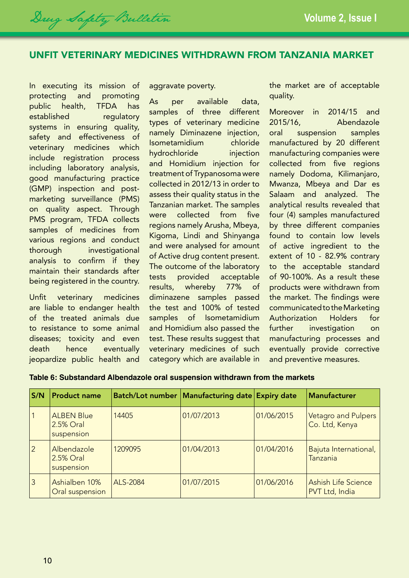# UNFIT VETERINARY MEDICINES WITHDRAWN FROM TANZANIA MARKET

In executing its mission of protecting and promoting public health, TFDA has established regulatory systems in ensuring quality, safety and effectiveness of veterinary medicines which include registration process including laboratory analysis, good manufacturing practice (GMP) inspection and postmarketing surveillance (PMS) on quality aspect. Through PMS program, TFDA collects samples of medicines from various regions and conduct thorough investigational analysis to confirm if they maintain their standards after being registered in the country.

Unfit veterinary medicines are liable to endanger health of the treated animals due to resistance to some animal diseases; toxicity and even death hence eventually jeopardize public health and

aggravate poverty.

As per available data, samples of three different types of veterinary medicine namely Diminazene injection, Isometamidium chloride hydrochloride injection and Homidium injection for treatment of Trypanosoma were collected in 2012/13 in order to assess their quality status in the Tanzanian market. The samples were collected from five regions namely Arusha, Mbeya, Kigoma, Lindi and Shinyanga and were analysed for amount of Active drug content present. The outcome of the laboratory tests provided acceptable results, whereby 77% of diminazene samples passed the test and 100% of tested samples of Isometamidium and Homidium also passed the test. These results suggest that veterinary medicines of such category which are available in

the market are of acceptable quality.

Moreover in 2014/15 and 2015/16, Abendazole oral suspension samples manufactured by 20 different manufacturing companies were collected from five regions namely Dodoma, Kilimanjaro, Mwanza, Mbeya and Dar es Salaam and analyzed. The analytical results revealed that four (4) samples manufactured by three different companies found to contain low levels of active ingredient to the extent of 10 - 82.9% contrary to the acceptable standard of 90-100%. As a result these products were withdrawn from the market. The findings were communicated to the Marketing Authorization Holders for further investigation on manufacturing processes and eventually provide corrective and preventive measures.

| S/N         | <b>Product name</b>                          |          | Batch/Lot number   Manufacturing date   Expiry date |            | <b>Manufacturer</b>                          |
|-------------|----------------------------------------------|----------|-----------------------------------------------------|------------|----------------------------------------------|
| $\vert$     | <b>ALBEN Blue</b><br>2.5% Oral<br>suspension | 14405    | 01/07/2013                                          | 01/06/2015 | Vetagro and Pulpers<br>Co. Ltd, Kenya        |
| $ 2\rangle$ | Albendazole<br>2.5% Oral<br>suspension       | 1209095  | 01/04/2013                                          | 01/04/2016 | Bajuta International,<br>Tanzania            |
| $ 3\rangle$ | Ashialben 10%<br>Oral suspension             | ALS-2084 | 01/07/2015                                          | 01/06/2016 | <b>Ashish Life Science</b><br>PVT Ltd, India |

**Table 6: Substandard Albendazole oral suspension withdrawn from the markets**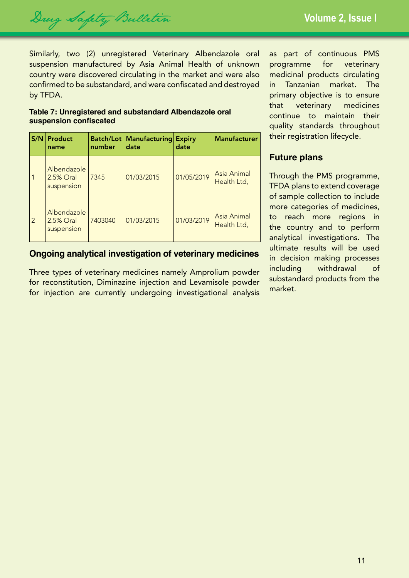Drug Safety Bulletin **Volume 2, Issue I**

Similarly, two (2) unregistered Veterinary Albendazole oral suspension manufactured by Asia Animal Health of unknown country were discovered circulating in the market and were also confirmed to be substandard, and were confiscated and destroyed by TFDA.

#### **Table 7: Unregistered and substandard Albendazole oral suspension confiscated**

| S/N            | Product<br>name                        | number  | <b>Batch/Lot   Manufacturing   Expiry</b><br>date | date       | <b>Manufacturer</b>        |
|----------------|----------------------------------------|---------|---------------------------------------------------|------------|----------------------------|
|                | Albendazole<br>2.5% Oral<br>suspension | 7345    | 01/03/2015                                        | 01/05/2019 | Asia Animal<br>Health Ltd, |
| $\overline{2}$ | Albendazole<br>2.5% Oral<br>suspension | 7403040 | 01/03/2015                                        | 01/03/2019 | Asia Animal<br>Health Ltd, |

### **Ongoing analytical investigation of veterinary medicines**

Three types of veterinary medicines namely Amprolium powder for reconstitution, Diminazine injection and Levamisole powder for injection are currently undergoing investigational analysis as part of continuous PMS programme for veterinary medicinal products circulating in Tanzanian market. The primary objective is to ensure that veterinary medicines continue to maintain their quality standards throughout their registration lifecycle.

### **Future plans**

Through the PMS programme, TFDA plans to extend coverage of sample collection to include more categories of medicines, to reach more regions in the country and to perform analytical investigations. The ultimate results will be used in decision making processes including withdrawal of substandard products from the market.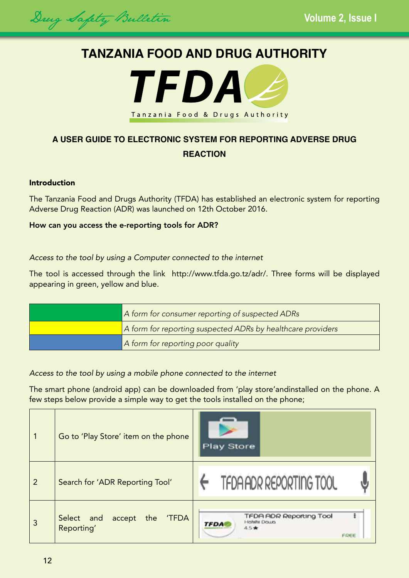Drug Safety Bulletin **Volume 2, Issue I**

# **TANZANIA FOOD AND DRUG AUTHORITY**



# **A USER GUIDE TO ELECTRONIC SYSTEM FOR REPORTING ADVERSE DRUG REACTION**

### Introduction

The Tanzania Food and Drugs Authority (TFDA) has established an electronic system for reporting Adverse Drug Reaction (ADR) was launched on 12th October 2016.

### How can you access the e-reporting tools for ADR?

*Access to the tool by using a Computer connected to the internet*

The tool is accessed through the link http://www.tfda.go.tz/adr/. Three forms will be displayed appearing in green, yellow and blue.

| A form for consumer reporting of suspected ADRs             |  |
|-------------------------------------------------------------|--|
| A form for reporting suspected ADRs by healthcare providers |  |
| A form for reporting poor quality                           |  |

*Access to the tool by using a mobile phone connected to the internet*

The smart phone (android app) can be downloaded from 'play store'andinstalled on the phone. A few steps below provide a simple way to get the tools installed on the phone;

|   | Go to 'Play Store' item on the phone            | lay Store                                                      |
|---|-------------------------------------------------|----------------------------------------------------------------|
| 2 | Search for 'ADR Reporting Tool'                 | TFDA ADR REPORTING TOOL                                        |
| 3 | 'TFDA<br>Select and accept<br>the<br>Reporting' | TFDA ADR Reporting Tool<br>Hotel's Doug<br><b>TFDA</b><br>4.5* |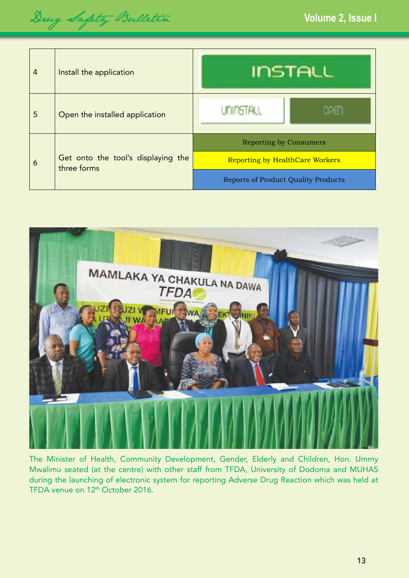Drug Safety Bulletin **Volume 2, Issue I**

| $\overline{4}$                                         | Install the application                    | INSTALL                                                                 |
|--------------------------------------------------------|--------------------------------------------|-------------------------------------------------------------------------|
| 5                                                      | Open the installed application             |                                                                         |
| Get onto the tool's displaying the<br>6<br>three forms |                                            | <b>Reporting by Consumers</b><br><b>Reporting by HealthCare Workers</b> |
|                                                        | <b>Reports of Product Quality Products</b> |                                                                         |



The Minister of Health, Community Development, Gender, Elderly and Children, Hon. Ummy Mwalimu seated (at the centre) with other staff from TFDA, University of Dodoma and MUHAS during the launching of electronic system for reporting Adverse Drug Reaction which was held at TFDA venue on 12<sup>th</sup> October 2016.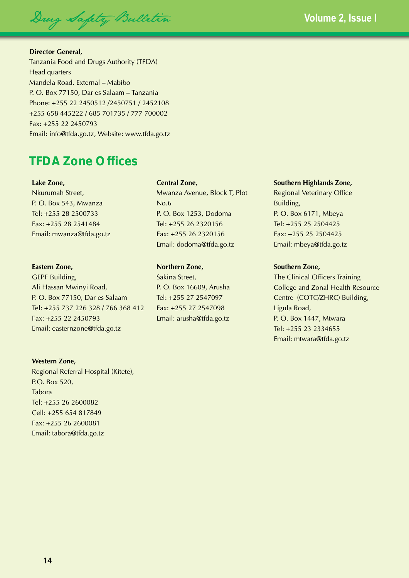Drug Safety Bulletin **Volume 2, Issue I**

#### **Director General,**

Tanzania Food and Drugs Authority (TFDA) Head quarters Mandela Road, External – Mabibo P. O. Box 77150, Dar es Salaam – Tanzania Phone: +255 22 2450512 /2450751 / 2452108 +255 658 445222 / 685 701735 / 777 700002 Fax: +255 22 2450793 Email: info@tfda.go.tz, Website: www.tfda.go.tz

# TFDA Zone Offices

#### **Lake Zone,**

Nkurumah Street, P. O. Box 543, Mwanza Tel: +255 28 2500733 Fax: +255 28 2541484 Email: mwanza@tfda.go.tz

#### **Eastern Zone,**

GEPF Building, Ali Hassan Mwinyi Road, P. O. Box 77150, Dar es Salaam Tel: +255 737 226 328 / 766 368 412 Fax: +255 22 2450793 Email: easternzone@tfda.go.tz

#### **Western Zone,**

Regional Referral Hospital (Kitete), P.O. Box 520, Tabora Tel: +255 26 2600082 Cell: +255 654 817849 Fax: +255 26 2600081 Email: tabora@tfda.go.tz

#### **Central Zone,**

Mwanza Avenue, Block T, Plot  $N<sub>0</sub>6$ P. O. Box 1253, Dodoma Tel: +255 26 2320156 Fax: +255 26 2320156 Email: dodoma@tfda.go.tz

#### **Northern Zone,**

Sakina Street, P. O. Box 16609, Arusha Tel: +255 27 2547097 Fax: +255 27 2547098 Email: arusha@tfda.go.tz

#### **Southern Highlands Zone,**

Regional Veterinary Office Building, P. O. Box 6171, Mbeya Tel: +255 25 2504425 Fax: +255 25 2504425 Email: mbeya@tfda.go.tz

#### **Southern Zone,**

The Clinical Officers Training College and Zonal Health Resource Centre (COTC/ZHRC) Building, Ligula Road, P. O. Box 1447, Mtwara Tel: +255 23 2334655 Email: mtwara@tfda.go.tz